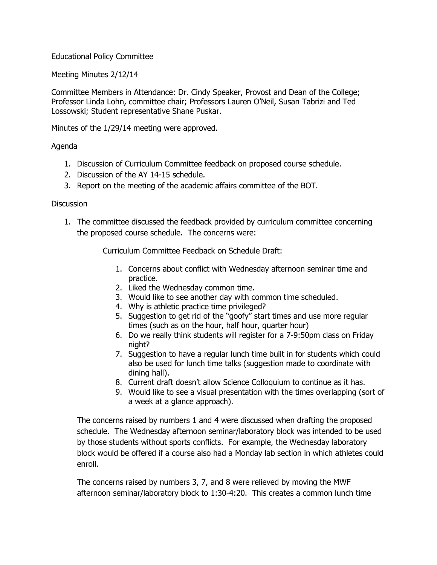## Educational Policy Committee

Meeting Minutes 2/12/14

Committee Members in Attendance: Dr. Cindy Speaker, Provost and Dean of the College; Professor Linda Lohn, committee chair; Professors Lauren O'Neil, Susan Tabrizi and Ted Lossowski; Student representative Shane Puskar.

Minutes of the 1/29/14 meeting were approved.

## Agenda

- 1. Discussion of Curriculum Committee feedback on proposed course schedule.
- 2. Discussion of the AY 14-15 schedule.
- 3. Report on the meeting of the academic affairs committee of the BOT.

## **Discussion**

1. The committee discussed the feedback provided by curriculum committee concerning the proposed course schedule. The concerns were:

Curriculum Committee Feedback on Schedule Draft:

- 1. Concerns about conflict with Wednesday afternoon seminar time and practice.
- 2. Liked the Wednesday common time.
- 3. Would like to see another day with common time scheduled.
- 4. Why is athletic practice time privileged?
- 5. Suggestion to get rid of the "goofy" start times and use more regular times (such as on the hour, half hour, quarter hour)
- 6. Do we really think students will register for a 7-9:50pm class on Friday night?
- 7. Suggestion to have a regular lunch time built in for students which could also be used for lunch time talks (suggestion made to coordinate with dining hall).
- 8. Current draft doesn't allow Science Colloquium to continue as it has.
- 9. Would like to see a visual presentation with the times overlapping (sort of a week at a glance approach).

The concerns raised by numbers 1 and 4 were discussed when drafting the proposed schedule. The Wednesday afternoon seminar/laboratory block was intended to be used by those students without sports conflicts. For example, the Wednesday laboratory block would be offered if a course also had a Monday lab section in which athletes could enroll.

The concerns raised by numbers 3, 7, and 8 were relieved by moving the MWF afternoon seminar/laboratory block to 1:30-4:20. This creates a common lunch time